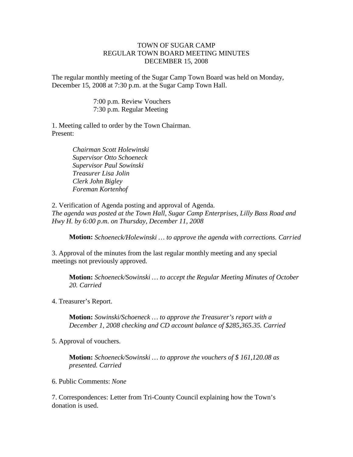## TOWN OF SUGAR CAMP REGULAR TOWN BOARD MEETING MINUTES DECEMBER 15, 2008

The regular monthly meeting of the Sugar Camp Town Board was held on Monday, December 15, 2008 at 7:30 p.m. at the Sugar Camp Town Hall.

> 7:00 p.m. Review Vouchers 7:30 p.m. Regular Meeting

1. Meeting called to order by the Town Chairman. Present:

> *Chairman Scott Holewinski Supervisor Otto Schoeneck Supervisor Paul Sowinski Treasurer Lisa Jolin Clerk John Bigley Foreman Kortenhof*

2. Verification of Agenda posting and approval of Agenda. *The agenda was posted at the Town Hall, Sugar Camp Enterprises, Lilly Bass Road and Hwy H. by 6:00 p.m. on Thursday, December 11, 2008*

**Motion:** *Schoeneck/Holewinski … to approve the agenda with corrections. Carried*

3. Approval of the minutes from the last regular monthly meeting and any special meetings not previously approved.

**Motion:** *Schoeneck/Sowinski … to accept the Regular Meeting Minutes of October 20. Carried*

4. Treasurer's Report.

**Motion:** *Sowinski/Schoeneck … to approve the Treasurer's report with a December 1, 2008 checking and CD account balance of \$285,365.35. Carried*

5. Approval of vouchers.

**Motion:** *Schoeneck/Sowinski … to approve the vouchers of \$ 161,120.08 as presented. Carried*

6. Public Comments: *None*

7. Correspondences: Letter from Tri-County Council explaining how the Town's donation is used.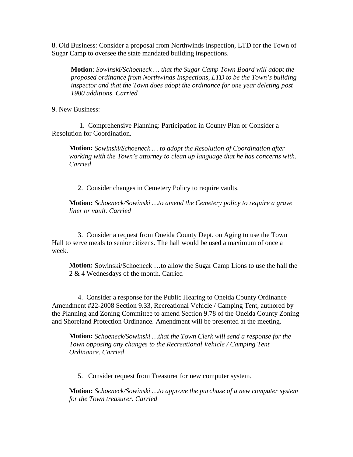8. Old Business: Consider a proposal from Northwinds Inspection, LTD for the Town of Sugar Camp to oversee the state mandated building inspections.

**Motion**: *Sowinski/Schoeneck … that the Sugar Camp Town Board will adopt the proposed ordinance from Northwinds Inspections, LTD to be the Town's building inspector and that the Town does adopt the ordinance for one year deleting post 1980 additions. Carried*

9. New Business:

 1. Comprehensive Planning: Participation in County Plan or Consider a Resolution for Coordination.

**Motion:** *Sowinski/Schoeneck … to adopt the Resolution of Coordination after working with the Town's attorney to clean up language that he has concerns with. Carried*

2. Consider changes in Cemetery Policy to require vaults.

**Motion:** *Schoeneck/Sowinski …to amend the Cemetery policy to require a grave liner or vault. Carried*

 3. Consider a request from Oneida County Dept. on Aging to use the Town Hall to serve meals to senior citizens. The hall would be used a maximum of once a week.

**Motion:** Sowinski/Schoeneck …to allow the Sugar Camp Lions to use the hall the 2 & 4 Wednesdays of the month. Carried

4. Consider a response for the Public Hearing to Oneida County Ordinance Amendment #22-2008 Section 9.33, Recreational Vehicle / Camping Tent, authored by the Planning and Zoning Committee to amend Section 9.78 of the Oneida County Zoning and Shoreland Protection Ordinance. Amendment will be presented at the meeting.

**Motion:** *Schoeneck/Sowinski …that the Town Clerk will send a response for the Town opposing any changes to the Recreational Vehicle / Camping Tent Ordinance. Carried*

5. Consider request from Treasurer for new computer system.

**Motion:** *Schoeneck/Sowinski …to approve the purchase of a new computer system for the Town treasurer. Carried*